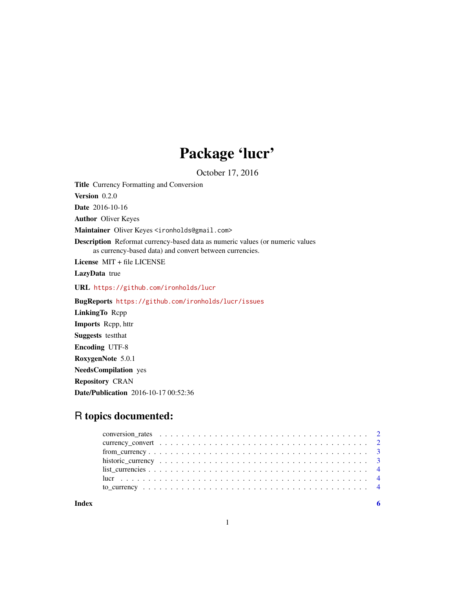# Package 'lucr'

October 17, 2016

Title Currency Formatting and Conversion

Version 0.2.0

Date 2016-10-16

Author Oliver Keyes

Maintainer Oliver Keyes <ironholds@gmail.com>

Description Reformat currency-based data as numeric values (or numeric values as currency-based data) and convert between currencies.

License MIT + file LICENSE

LazyData true

URL <https://github.com/ironholds/lucr>

BugReports <https://github.com/ironholds/lucr/issues> LinkingTo Rcpp Imports Rcpp, httr Suggests testthat Encoding UTF-8 RoxygenNote 5.0.1 NeedsCompilation yes Repository CRAN Date/Publication 2016-10-17 00:52:36

# R topics documented:

**Index** [6](#page-5-0) **6**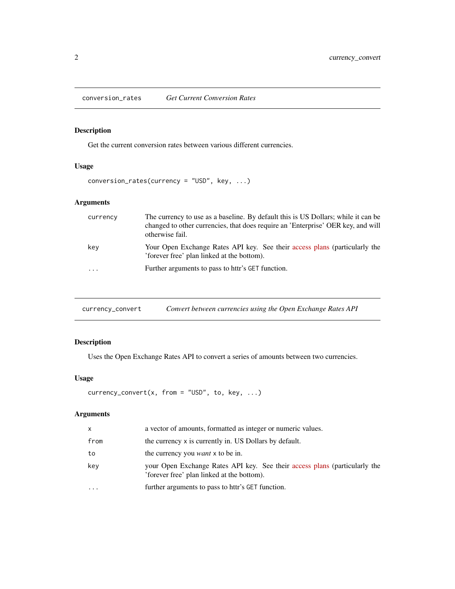<span id="page-1-0"></span>conversion\_rates *Get Current Conversion Rates*

#### Description

Get the current conversion rates between various different currencies.

#### Usage

conversion\_rates(currency = "USD", key, ...)

#### Arguments

| currency | The currency to use as a baseline. By default this is US Dollars; while it can be<br>changed to other currencies, that does require an 'Enterprise' OER key, and will<br>otherwise fail. |
|----------|------------------------------------------------------------------------------------------------------------------------------------------------------------------------------------------|
| key      | Your Open Exchange Rates API key. See their access plans (particularly the<br>'forever free' plan linked at the bottom).                                                                 |
| .        | Further arguments to pass to httr's GET function.                                                                                                                                        |

<span id="page-1-1"></span>currency\_convert *Convert between currencies using the Open Exchange Rates API*

#### Description

Uses the Open Exchange Rates API to convert a series of amounts between two currencies.

#### Usage

```
\text{currency\_convert}(x, \text{ from } = "USD", \text{ to, key}, ...)
```
#### Arguments

| X         | a vector of amounts, formatted as integer or numeric values.                                                             |
|-----------|--------------------------------------------------------------------------------------------------------------------------|
| from      | the currency x is currently in. US Dollars by default.                                                                   |
| to        | the currency you <i>want</i> x to be in.                                                                                 |
| key       | your Open Exchange Rates API key. See their access plans (particularly the<br>'forever free' plan linked at the bottom). |
| $\ddotsc$ | further arguments to pass to httr's GET function.                                                                        |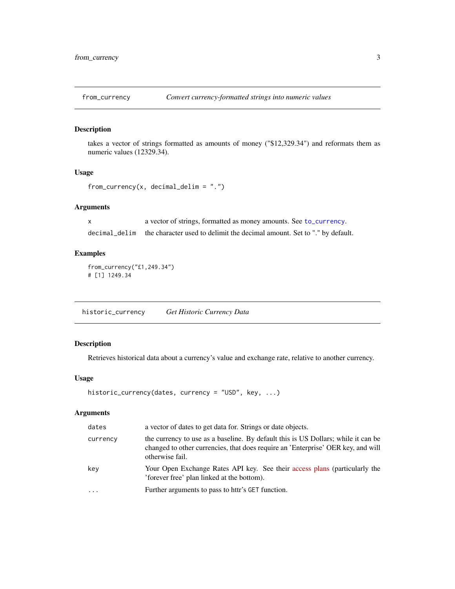<span id="page-2-0"></span>

#### Description

takes a vector of strings formatted as amounts of money ("\$12,329.34") and reformats them as numeric values (12329.34).

#### Usage

```
from_currency(x, decimal_delim = ".")
```
#### Arguments

| a vector of strings, formatted as money amounts. See to_currency.                      |
|----------------------------------------------------------------------------------------|
| decimal_delim the character used to delimit the decimal amount. Set to "." by default. |

#### Examples

from\_currency("£1,249.34") # [1] 1249.34

historic\_currency *Get Historic Currency Data*

#### Description

Retrieves historical data about a currency's value and exchange rate, relative to another currency.

#### Usage

```
historic_currency(dates, currency = "USD", key, ...)
```
#### Arguments

| dates     | a vector of dates to get data for. Strings or date objects.                                                                                                                              |
|-----------|------------------------------------------------------------------------------------------------------------------------------------------------------------------------------------------|
| currency  | the currency to use as a baseline. By default this is US Dollars; while it can be<br>changed to other currencies, that does require an 'Enterprise' OER key, and will<br>otherwise fail. |
| key       | Your Open Exchange Rates API key. See their access plans (particularly the<br>'forever free' plan linked at the bottom).                                                                 |
| $\ddotsc$ | Further arguments to pass to httr's GET function.                                                                                                                                        |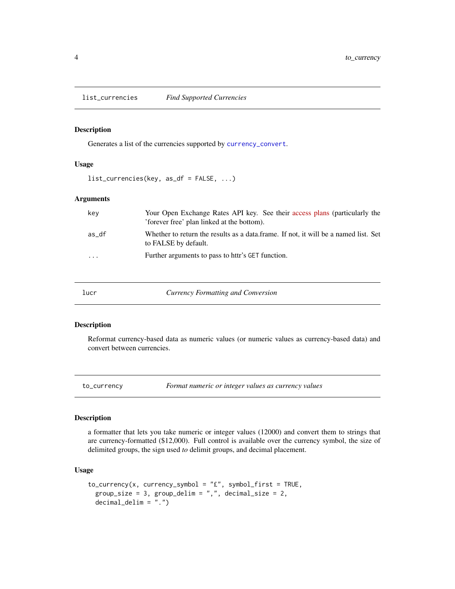<span id="page-3-0"></span>list\_currencies *Find Supported Currencies*

#### Description

Generates a list of the currencies supported by [currency\\_convert](#page-1-1).

#### Usage

list\_currencies(key, as\_df = FALSE, ...)

#### Arguments

| kev                     | Your Open Exchange Rates API key. See their access plans (particularly the<br>'forever free' plan linked at the bottom). |
|-------------------------|--------------------------------------------------------------------------------------------------------------------------|
| as df                   | Whether to return the results as a data.frame. If not, it will be a named list. Set<br>to FALSE by default.              |
| $\cdot$ $\cdot$ $\cdot$ | Further arguments to pass to httr's GET function.                                                                        |

*Currency Formatting and Conversion* 

#### Description

Reformat currency-based data as numeric values (or numeric values as currency-based data) and convert between currencies.

<span id="page-3-1"></span>to\_currency *Format numeric or integer values as currency values*

#### Description

a formatter that lets you take numeric or integer values (12000) and convert them to strings that are currency-formatted (\$12,000). Full control is available over the currency symbol, the size of delimited groups, the sign used *to* delimit groups, and decimal placement.

#### Usage

```
to_currency(x, currency_symbol = "£", symbol_first = TRUE,group_size = 3, group_delim = ",", decimal_size = 2,
decimal\_delim = "."
```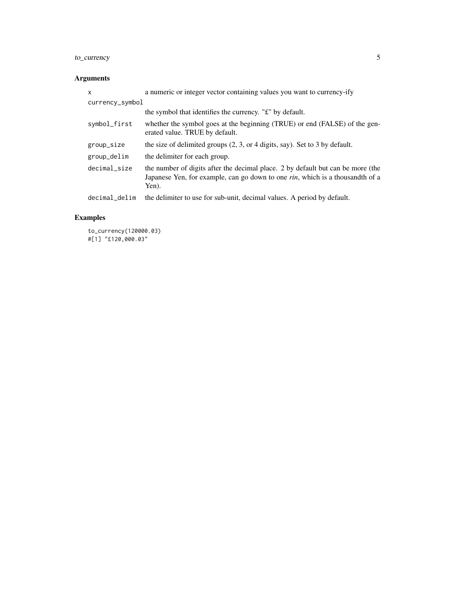# to\_currency 5

### Arguments

| X               | a numeric or integer vector containing values you want to currency-ify                                                                                                            |
|-----------------|-----------------------------------------------------------------------------------------------------------------------------------------------------------------------------------|
| currency_symbol |                                                                                                                                                                                   |
|                 | the symbol that identifies the currency. "£" by default.                                                                                                                          |
| symbol_first    | whether the symbol goes at the beginning (TRUE) or end (FALSE) of the gen-<br>erated value. TRUE by default.                                                                      |
| group_size      | the size of delimited groups $(2, 3, or 4$ digits, say). Set to 3 by default.                                                                                                     |
| group_delim     | the delimiter for each group.                                                                                                                                                     |
| decimal_size    | the number of digits after the decimal place. 2 by default but can be more (the<br>Japanese Yen, for example, can go down to one <i>rin</i> , which is a thousandth of a<br>Yen). |
| decimal_delim   | the delimiter to use for sub-unit, decimal values. A period by default.                                                                                                           |
|                 |                                                                                                                                                                                   |

# Examples

to\_currency(120000.03) #[1] "£120,000.03"